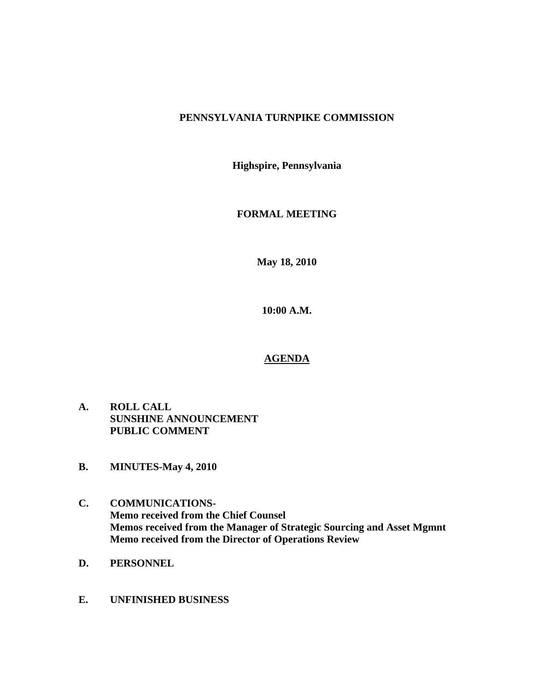# **PENNSYLVANIA TURNPIKE COMMISSION**

**Highspire, Pennsylvania** 

# **FORMAL MEETING**

**May 18, 2010** 

**10:00 A.M.** 

# **AGENDA**

- **A. ROLL CALL SUNSHINE ANNOUNCEMENT PUBLIC COMMENT**
- **B. MINUTES-May 4, 2010**
- **C. COMMUNICATIONS-Memo received from the Chief Counsel Memos received from the Manager of Strategic Sourcing and Asset Mgmnt Memo received from the Director of Operations Review**
- **D. PERSONNEL**
- **E. UNFINISHED BUSINESS**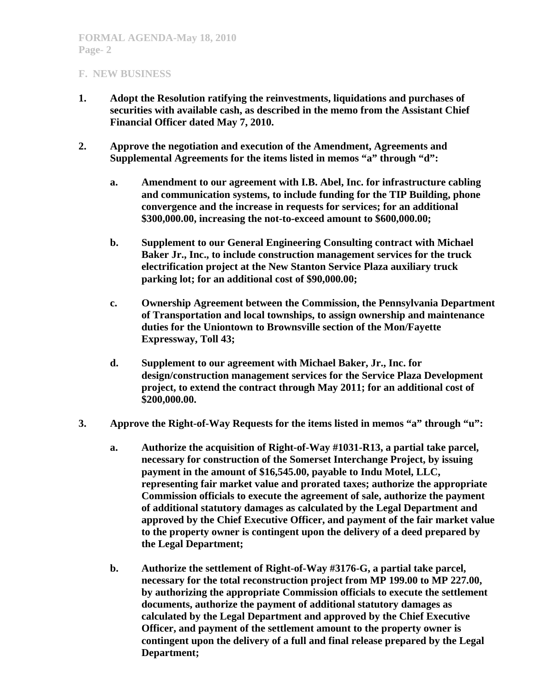- **1. Adopt the Resolution ratifying the reinvestments, liquidations and purchases of securities with available cash, as described in the memo from the Assistant Chief Financial Officer dated May 7, 2010.**
- **2. Approve the negotiation and execution of the Amendment, Agreements and Supplemental Agreements for the items listed in memos "a" through "d":** 
	- **a. Amendment to our agreement with I.B. Abel, Inc. for infrastructure cabling and communication systems, to include funding for the TIP Building, phone convergence and the increase in requests for services; for an additional \$300,000.00, increasing the not-to-exceed amount to \$600,000.00;**
	- **b. Supplement to our General Engineering Consulting contract with Michael Baker Jr., Inc., to include construction management services for the truck electrification project at the New Stanton Service Plaza auxiliary truck parking lot; for an additional cost of \$90,000.00;**
	- **c. Ownership Agreement between the Commission, the Pennsylvania Department of Transportation and local townships, to assign ownership and maintenance duties for the Uniontown to Brownsville section of the Mon/Fayette Expressway, Toll 43;**
	- **d. Supplement to our agreement with Michael Baker, Jr., Inc. for design/construction management services for the Service Plaza Development project, to extend the contract through May 2011; for an additional cost of \$200,000.00.**
- **3. Approve the Right-of-Way Requests for the items listed in memos "a" through "u":** 
	- **a. Authorize the acquisition of Right-of-Way #1031-R13, a partial take parcel, necessary for construction of the Somerset Interchange Project, by issuing payment in the amount of \$16,545.00, payable to Indu Motel, LLC, representing fair market value and prorated taxes; authorize the appropriate Commission officials to execute the agreement of sale, authorize the payment of additional statutory damages as calculated by the Legal Department and approved by the Chief Executive Officer, and payment of the fair market value to the property owner is contingent upon the delivery of a deed prepared by the Legal Department;**
	- **b. Authorize the settlement of Right-of-Way #3176-G, a partial take parcel, necessary for the total reconstruction project from MP 199.00 to MP 227.00, by authorizing the appropriate Commission officials to execute the settlement documents, authorize the payment of additional statutory damages as calculated by the Legal Department and approved by the Chief Executive Officer, and payment of the settlement amount to the property owner is contingent upon the delivery of a full and final release prepared by the Legal Department;**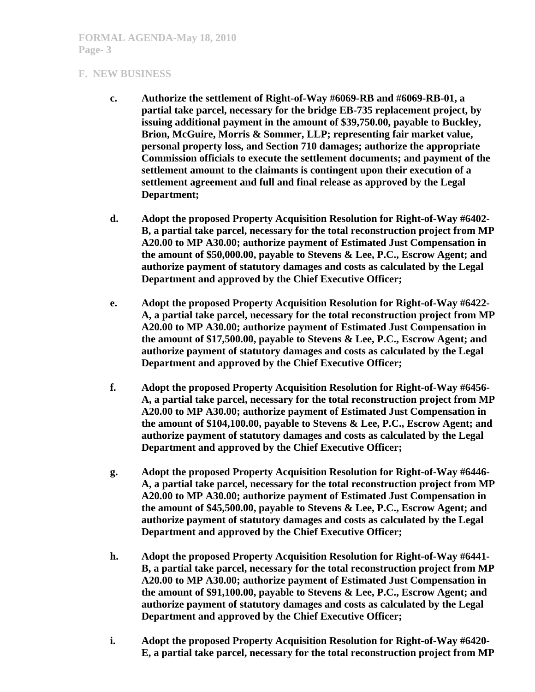- **c. Authorize the settlement of Right-of-Way #6069-RB and #6069-RB-01, a partial take parcel, necessary for the bridge EB-735 replacement project, by issuing additional payment in the amount of \$39,750.00, payable to Buckley, Brion, McGuire, Morris & Sommer, LLP; representing fair market value, personal property loss, and Section 710 damages; authorize the appropriate Commission officials to execute the settlement documents; and payment of the settlement amount to the claimants is contingent upon their execution of a settlement agreement and full and final release as approved by the Legal Department;**
- **d. Adopt the proposed Property Acquisition Resolution for Right-of-Way #6402- B, a partial take parcel, necessary for the total reconstruction project from MP A20.00 to MP A30.00; authorize payment of Estimated Just Compensation in the amount of \$50,000.00, payable to Stevens & Lee, P.C., Escrow Agent; and authorize payment of statutory damages and costs as calculated by the Legal Department and approved by the Chief Executive Officer;**
- **e. Adopt the proposed Property Acquisition Resolution for Right-of-Way #6422- A, a partial take parcel, necessary for the total reconstruction project from MP A20.00 to MP A30.00; authorize payment of Estimated Just Compensation in the amount of \$17,500.00, payable to Stevens & Lee, P.C., Escrow Agent; and authorize payment of statutory damages and costs as calculated by the Legal Department and approved by the Chief Executive Officer;**
- **f. Adopt the proposed Property Acquisition Resolution for Right-of-Way #6456- A, a partial take parcel, necessary for the total reconstruction project from MP A20.00 to MP A30.00; authorize payment of Estimated Just Compensation in the amount of \$104,100.00, payable to Stevens & Lee, P.C., Escrow Agent; and authorize payment of statutory damages and costs as calculated by the Legal Department and approved by the Chief Executive Officer;**
- **g. Adopt the proposed Property Acquisition Resolution for Right-of-Way #6446- A, a partial take parcel, necessary for the total reconstruction project from MP A20.00 to MP A30.00; authorize payment of Estimated Just Compensation in the amount of \$45,500.00, payable to Stevens & Lee, P.C., Escrow Agent; and authorize payment of statutory damages and costs as calculated by the Legal Department and approved by the Chief Executive Officer;**
- **h. Adopt the proposed Property Acquisition Resolution for Right-of-Way #6441- B, a partial take parcel, necessary for the total reconstruction project from MP A20.00 to MP A30.00; authorize payment of Estimated Just Compensation in the amount of \$91,100.00, payable to Stevens & Lee, P.C., Escrow Agent; and authorize payment of statutory damages and costs as calculated by the Legal Department and approved by the Chief Executive Officer;**
- **i. Adopt the proposed Property Acquisition Resolution for Right-of-Way #6420- E, a partial take parcel, necessary for the total reconstruction project from MP**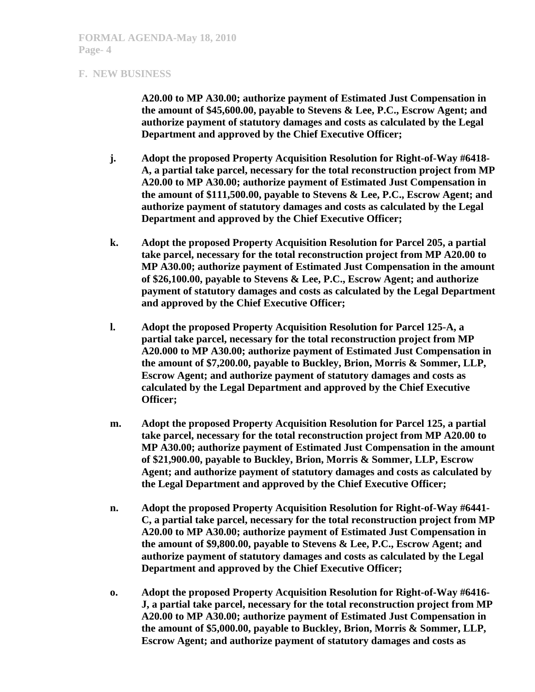**A20.00 to MP A30.00; authorize payment of Estimated Just Compensation in the amount of \$45,600.00, payable to Stevens & Lee, P.C., Escrow Agent; and authorize payment of statutory damages and costs as calculated by the Legal Department and approved by the Chief Executive Officer;** 

- **j. Adopt the proposed Property Acquisition Resolution for Right-of-Way #6418- A, a partial take parcel, necessary for the total reconstruction project from MP A20.00 to MP A30.00; authorize payment of Estimated Just Compensation in the amount of \$111,500.00, payable to Stevens & Lee, P.C., Escrow Agent; and authorize payment of statutory damages and costs as calculated by the Legal Department and approved by the Chief Executive Officer;**
- **k. Adopt the proposed Property Acquisition Resolution for Parcel 205, a partial take parcel, necessary for the total reconstruction project from MP A20.00 to MP A30.00; authorize payment of Estimated Just Compensation in the amount of \$26,100.00, payable to Stevens & Lee, P.C., Escrow Agent; and authorize payment of statutory damages and costs as calculated by the Legal Department and approved by the Chief Executive Officer;**
- **l. Adopt the proposed Property Acquisition Resolution for Parcel 125-A, a partial take parcel, necessary for the total reconstruction project from MP A20.000 to MP A30.00; authorize payment of Estimated Just Compensation in the amount of \$7,200.00, payable to Buckley, Brion, Morris & Sommer, LLP, Escrow Agent; and authorize payment of statutory damages and costs as calculated by the Legal Department and approved by the Chief Executive Officer;**
- **m. Adopt the proposed Property Acquisition Resolution for Parcel 125, a partial take parcel, necessary for the total reconstruction project from MP A20.00 to MP A30.00; authorize payment of Estimated Just Compensation in the amount of \$21,900.00, payable to Buckley, Brion, Morris & Sommer, LLP, Escrow Agent; and authorize payment of statutory damages and costs as calculated by the Legal Department and approved by the Chief Executive Officer;**
- **n. Adopt the proposed Property Acquisition Resolution for Right-of-Way #6441- C, a partial take parcel, necessary for the total reconstruction project from MP A20.00 to MP A30.00; authorize payment of Estimated Just Compensation in the amount of \$9,800.00, payable to Stevens & Lee, P.C., Escrow Agent; and authorize payment of statutory damages and costs as calculated by the Legal Department and approved by the Chief Executive Officer;**
- **o. Adopt the proposed Property Acquisition Resolution for Right-of-Way #6416- J, a partial take parcel, necessary for the total reconstruction project from MP A20.00 to MP A30.00; authorize payment of Estimated Just Compensation in the amount of \$5,000.00, payable to Buckley, Brion, Morris & Sommer, LLP, Escrow Agent; and authorize payment of statutory damages and costs as**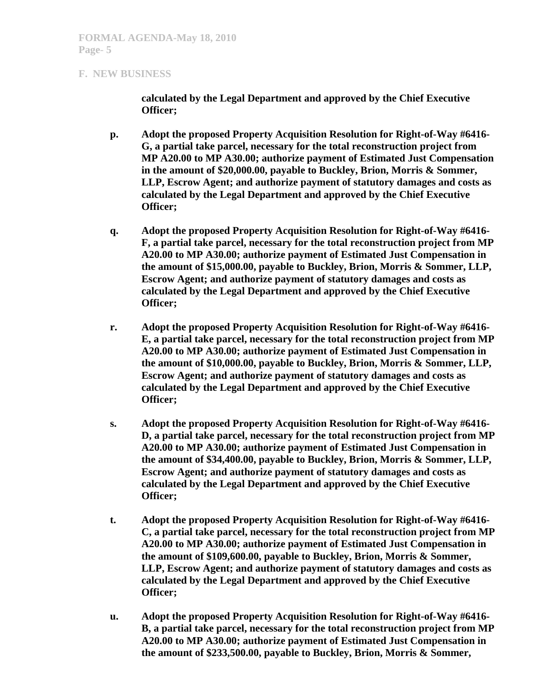**calculated by the Legal Department and approved by the Chief Executive Officer;** 

- **p. Adopt the proposed Property Acquisition Resolution for Right-of-Way #6416- G, a partial take parcel, necessary for the total reconstruction project from MP A20.00 to MP A30.00; authorize payment of Estimated Just Compensation in the amount of \$20,000.00, payable to Buckley, Brion, Morris & Sommer, LLP, Escrow Agent; and authorize payment of statutory damages and costs as calculated by the Legal Department and approved by the Chief Executive Officer;**
- **q. Adopt the proposed Property Acquisition Resolution for Right-of-Way #6416- F, a partial take parcel, necessary for the total reconstruction project from MP A20.00 to MP A30.00; authorize payment of Estimated Just Compensation in the amount of \$15,000.00, payable to Buckley, Brion, Morris & Sommer, LLP, Escrow Agent; and authorize payment of statutory damages and costs as calculated by the Legal Department and approved by the Chief Executive Officer;**
- **r. Adopt the proposed Property Acquisition Resolution for Right-of-Way #6416- E, a partial take parcel, necessary for the total reconstruction project from MP A20.00 to MP A30.00; authorize payment of Estimated Just Compensation in the amount of \$10,000.00, payable to Buckley, Brion, Morris & Sommer, LLP, Escrow Agent; and authorize payment of statutory damages and costs as calculated by the Legal Department and approved by the Chief Executive Officer;**
- **s. Adopt the proposed Property Acquisition Resolution for Right-of-Way #6416- D, a partial take parcel, necessary for the total reconstruction project from MP A20.00 to MP A30.00; authorize payment of Estimated Just Compensation in the amount of \$34,400.00, payable to Buckley, Brion, Morris & Sommer, LLP, Escrow Agent; and authorize payment of statutory damages and costs as calculated by the Legal Department and approved by the Chief Executive Officer;**
- **t. Adopt the proposed Property Acquisition Resolution for Right-of-Way #6416- C, a partial take parcel, necessary for the total reconstruction project from MP A20.00 to MP A30.00; authorize payment of Estimated Just Compensation in the amount of \$109,600.00, payable to Buckley, Brion, Morris & Sommer, LLP, Escrow Agent; and authorize payment of statutory damages and costs as calculated by the Legal Department and approved by the Chief Executive Officer;**
- **u. Adopt the proposed Property Acquisition Resolution for Right-of-Way #6416- B, a partial take parcel, necessary for the total reconstruction project from MP A20.00 to MP A30.00; authorize payment of Estimated Just Compensation in the amount of \$233,500.00, payable to Buckley, Brion, Morris & Sommer,**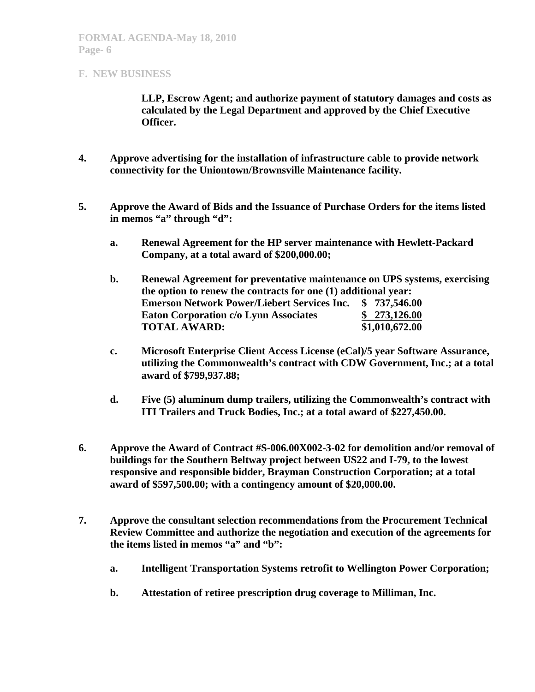**LLP, Escrow Agent; and authorize payment of statutory damages and costs as calculated by the Legal Department and approved by the Chief Executive Officer.** 

- **4. Approve advertising for the installation of infrastructure cable to provide network connectivity for the Uniontown/Brownsville Maintenance facility.**
- **5. Approve the Award of Bids and the Issuance of Purchase Orders for the items listed**  in memos "a" through "d":
	- **a. Renewal Agreement for the HP server maintenance with Hewlett-Packard Company, at a total award of \$200,000.00;**
	- **b. Renewal Agreement for preventative maintenance on UPS systems, exercising the option to renew the contracts for one (1) additional year: Emerson Network Power/Liebert Services Inc. \$ 737,546.00 Eaton Corporation c/o Lynn Associates \$ 273,126.00 TOTAL AWARD: \$1,010,672.00**
	- **c. Microsoft Enterprise Client Access License (eCal)/5 year Software Assurance, utilizing the Commonwealth's contract with CDW Government, Inc.; at a total award of \$799,937.88;**
	- **d. Five (5) aluminum dump trailers, utilizing the Commonwealth's contract with ITI Trailers and Truck Bodies, Inc.; at a total award of \$227,450.00.**
- **6. Approve the Award of Contract #S-006.00X002-3-02 for demolition and/or removal of buildings for the Southern Beltway project between US22 and I-79, to the lowest responsive and responsible bidder, Brayman Construction Corporation; at a total award of \$597,500.00; with a contingency amount of \$20,000.00.**
- **7. Approve the consultant selection recommendations from the Procurement Technical Review Committee and authorize the negotiation and execution of the agreements for the items listed in memos "a" and "b":** 
	- **a. Intelligent Transportation Systems retrofit to Wellington Power Corporation;**
	- **b. Attestation of retiree prescription drug coverage to Milliman, Inc.**